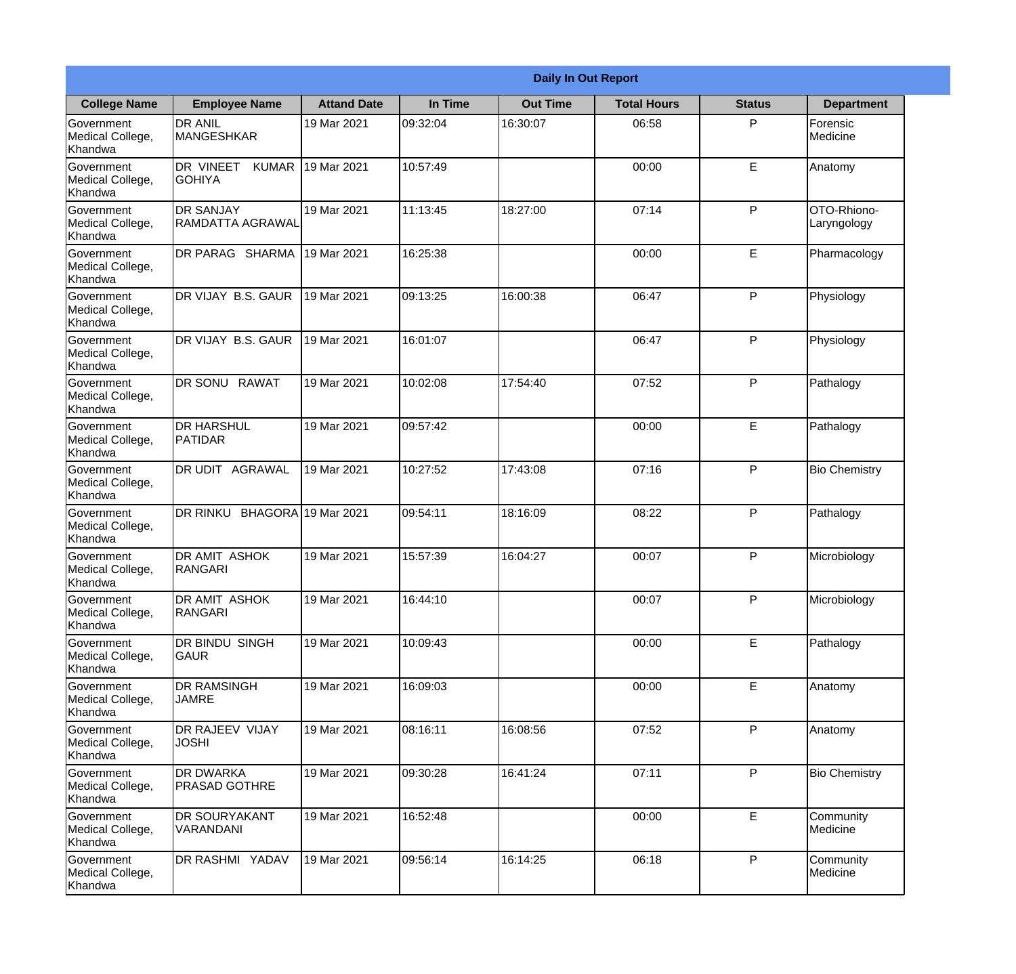|                                                  |                                            |                     |          | <b>Daily In Out Report</b> |                    |               |                            |
|--------------------------------------------------|--------------------------------------------|---------------------|----------|----------------------------|--------------------|---------------|----------------------------|
| <b>College Name</b>                              | <b>Employee Name</b>                       | <b>Attand Date</b>  | In Time  | <b>Out Time</b>            | <b>Total Hours</b> | <b>Status</b> | <b>Department</b>          |
| Government<br>Medical College,<br>Khandwa        | <b>DR ANIL</b><br><b>MANGESHKAR</b>        | 19 Mar 2021         | 09:32:04 | 16:30:07                   | 06:58              | P             | Forensic<br>Medicine       |
| Government<br>Medical College,<br>Khandwa        | DR VINEET<br><b>KUMAR</b><br><b>GOHIYA</b> | 19 Mar 2021         | 10:57:49 |                            | 00:00              | E             | Anatomy                    |
| <b>Government</b><br>Medical College,<br>Khandwa | <b>DR SANJAY</b><br>RAMDATTA AGRAWAL       | 19 Mar 2021         | 11:13:45 | 18:27:00                   | 07:14              | P             | OTO-Rhiono-<br>Laryngology |
| Government<br>Medical College,<br>Khandwa        | DR PARAG SHARMA                            | 19 Mar 2021         | 16:25:38 |                            | 00:00              | E             | Pharmacology               |
| Government<br>Medical College,<br>Khandwa        | DR VIJAY B.S. GAUR                         | 19 Mar 2021         | 09:13:25 | 16:00:38                   | 06:47              | P             | Physiology                 |
| Government<br>Medical College,<br>Khandwa        | DR VIJAY B.S. GAUR                         | 19 Mar 2021         | 16:01:07 |                            | 06:47              | P             | Physiology                 |
| Government<br>Medical College,<br>Khandwa        | DR SONU RAWAT                              | 19 Mar 2021         | 10:02:08 | 17:54:40                   | 07:52              | P             | Pathalogy                  |
| <b>Government</b><br>Medical College,<br>Khandwa | <b>DR HARSHUL</b><br>PATIDAR               | 19 Mar 2021         | 09:57:42 |                            | 00:00              | E             | Pathalogy                  |
| Government<br>Medical College,<br>Khandwa        | <b>DR UDIT AGRAWAL</b>                     | 19 Mar 2021         | 10:27:52 | 17:43:08                   | 07:16              | P             | <b>Bio Chemistry</b>       |
| Government<br>Medical College,<br>Khandwa        | <b>DR RINKU</b>                            | BHAGORA 19 Mar 2021 | 09:54:11 | 18:16:09                   | 08:22              | P             | Pathalogy                  |
| Government<br>Medical College,<br>Khandwa        | <b>DR AMIT ASHOK</b><br><b>RANGARI</b>     | 19 Mar 2021         | 15:57:39 | 16:04:27                   | 00:07              | $\mathsf{P}$  | Microbiology               |
| Government<br>Medical College,<br>Khandwa        | <b>DR AMIT ASHOK</b><br>RANGARI            | 19 Mar 2021         | 16:44:10 |                            | 00:07              | P             | Microbiology               |
| Government<br>Medical College,<br>Khandwa        | DR BINDU SINGH<br><b>GAUR</b>              | 19 Mar 2021         | 10:09:43 |                            | 00:00              | E             | Pathalogy                  |
| Government<br>Medical College,<br>Khandwa        | <b>DR RAMSINGH</b><br><b>JAMRE</b>         | 19 Mar 2021         | 16:09:03 |                            | 00:00              | E             | Anatomy                    |
| Government<br>Medical College,<br>Khandwa        | <b>DR RAJEEV VIJAY</b><br><b>JOSHI</b>     | 19 Mar 2021         | 08:16:11 | 16:08:56                   | 07:52              | $\mathsf{P}$  | Anatomy                    |
| Government<br>Medical College,<br>Khandwa        | <b>DR DWARKA</b><br><b>PRASAD GOTHRE</b>   | 19 Mar 2021         | 09:30:28 | 16:41:24                   | 07:11              | P             | <b>Bio Chemistry</b>       |
| Government<br>Medical College,<br>Khandwa        | <b>DR SOURYAKANT</b><br>VARANDANI          | 19 Mar 2021         | 16:52:48 |                            | 00:00              | E             | Community<br>Medicine      |
| Government<br>Medical College,<br>Khandwa        | DR RASHMI YADAV                            | 19 Mar 2021         | 09:56:14 | 16:14:25                   | 06:18              | P             | Community<br>Medicine      |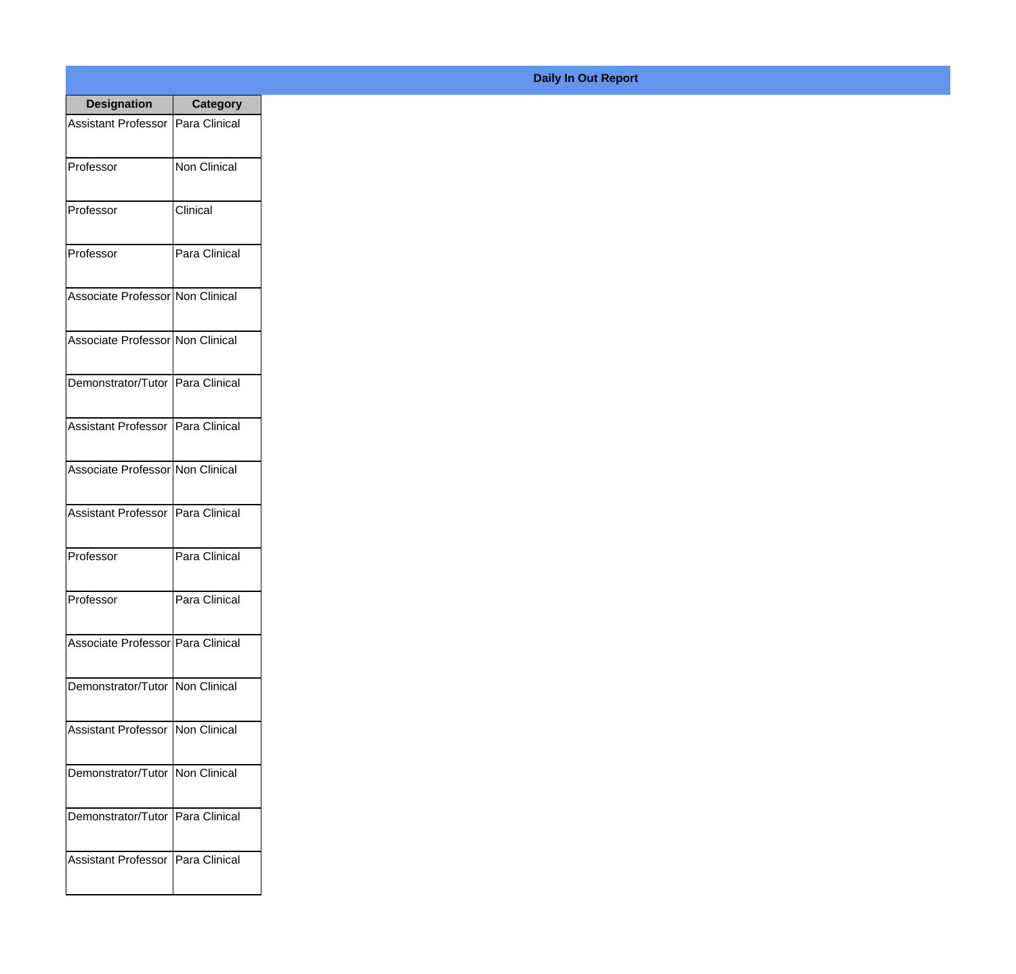| <b>Designation</b>                  | <b>Category</b> |
|-------------------------------------|-----------------|
| <b>Assistant Professor</b>          | Para Clinical   |
| Professor                           | Non Clinical    |
| Professor                           | Clinical        |
| Professor                           | Para Clinical   |
| Associate Professor Non Clinical    |                 |
| Associate Professor Non Clinical    |                 |
| Demonstrator/Tutor Para Clinical    |                 |
| Assistant Professor   Para Clinical |                 |
| Associate Professor Non Clinical    |                 |
| <b>Assistant Professor</b>          | Para Clinical   |
| Professor                           | Para Clinical   |
| Professor                           | Para Clinical   |
| Associate Professor Para Clinical   |                 |
| Demonstrator/Tutor   Non Clinical   |                 |
| Assistant Professor   Non Clinical  |                 |
| Demonstrator/Tutor   Non Clinical   |                 |
| Demonstrator/Tutor   Para Clinical  |                 |
| Assistant Professor   Para Clinical |                 |

## **Daily In Out Report**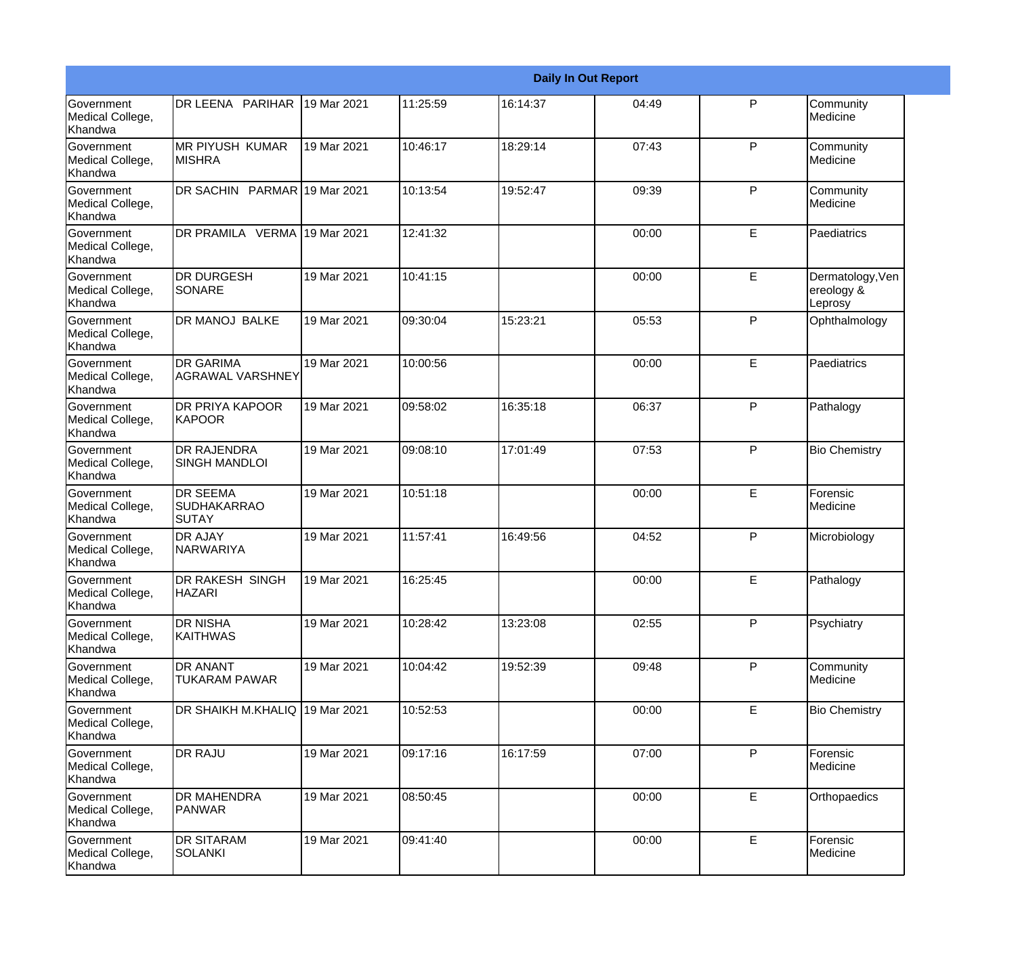|                                                  |                                                |             |          |          | <b>Daily In Out Report</b> |              |                                           |
|--------------------------------------------------|------------------------------------------------|-------------|----------|----------|----------------------------|--------------|-------------------------------------------|
| Government<br>Medical College,<br>Khandwa        | DR LEENA PARIHAR                               | 19 Mar 2021 | 11:25:59 | 16:14:37 | 04:49                      | $\mathsf{P}$ | Community<br>Medicine                     |
| <b>Government</b><br>Medical College,<br>Khandwa | <b>IMR PIYUSH KUMAR</b><br><b>IMISHRA</b>      | 19 Mar 2021 | 10:46:17 | 18:29:14 | 07:43                      | $\mathsf{P}$ | Community<br>Medicine                     |
| <b>Government</b><br>Medical College,<br>Khandwa | DR SACHIN PARMAR 19 Mar 2021                   |             | 10:13:54 | 19:52:47 | 09:39                      | P            | Community<br>Medicine                     |
| Government<br>Medical College,<br>Khandwa        | DR PRAMILA VERMA 19 Mar 2021                   |             | 12:41:32 |          | 00:00                      | E            | Paediatrics                               |
| Government<br>Medical College,<br>Khandwa        | <b>DR DURGESH</b><br>SONARE                    | 19 Mar 2021 | 10:41:15 |          | 00:00                      | $\mathsf E$  | Dermatology, Ven<br>ereology &<br>Leprosy |
| Government<br>Medical College,<br>Khandwa        | <b>DR MANOJ BALKE</b>                          | 19 Mar 2021 | 09:30:04 | 15:23:21 | 05:53                      | $\mathsf{P}$ | Ophthalmology                             |
| Government<br>Medical College,<br>Khandwa        | <b>DR GARIMA</b><br>AGRAWAL VARSHNEY           | 19 Mar 2021 | 10:00:56 |          | 00:00                      | E            | Paediatrics                               |
| Government<br>Medical College,<br>Khandwa        | <b>DR PRIYA KAPOOR</b><br>KAPOOR               | 19 Mar 2021 | 09:58:02 | 16:35:18 | 06:37                      | P            | Pathalogy                                 |
| Government<br>Medical College,<br>Khandwa        | <b>DR RAJENDRA</b><br><b>SINGH MANDLOI</b>     | 19 Mar 2021 | 09:08:10 | 17:01:49 | 07:53                      | ${\sf P}$    | <b>Bio Chemistry</b>                      |
| <b>Government</b><br>Medical College,<br>Khandwa | <b>DR SEEMA</b><br><b>SUDHAKARRAO</b><br>SUTAY | 19 Mar 2021 | 10:51:18 |          | 00:00                      | E            | Forensic<br>Medicine                      |
| <b>Government</b><br>Medical College,<br>Khandwa | <b>DR AJAY</b><br>NARWARIYA                    | 19 Mar 2021 | 11:57:41 | 16:49:56 | 04:52                      | $\mathsf{P}$ | Microbiology                              |
| Government<br>Medical College,<br>Khandwa        | DR RAKESH SINGH<br><b>HAZARI</b>               | 19 Mar 2021 | 16:25:45 |          | 00:00                      | E            | Pathalogy                                 |
| Government<br>Medical College,<br>Khandwa        | DR NISHA<br>KAITHWAS                           | 19 Mar 2021 | 10:28:42 | 13:23:08 | 02:55                      | $\mathsf{P}$ | Psychiatry                                |
| Government<br>Medical College,<br>Khandwa        | DR ANANT<br>TUKARAM PAWAR                      | 19 Mar 2021 | 10:04:42 | 19:52:39 | 09:48                      | P            | Community<br>Medicine                     |
| Government<br>Medical College,<br>Khandwa        | DR SHAIKH M.KHALIQ 19 Mar 2021                 |             | 10:52:53 |          | 00:00                      | E            | <b>Bio Chemistry</b>                      |
| Government<br>Medical College,<br>Khandwa        | <b>DR RAJU</b>                                 | 19 Mar 2021 | 09:17:16 | 16:17:59 | 07:00                      | P            | Forensic<br>Medicine                      |
| Government<br>Medical College,<br>Khandwa        | <b>DR MAHENDRA</b><br><b>PANWAR</b>            | 19 Mar 2021 | 08:50:45 |          | 00:00                      | E            | Orthopaedics                              |
| Government<br>Medical College,<br>Khandwa        | <b>DR SITARAM</b><br><b>SOLANKI</b>            | 19 Mar 2021 | 09:41:40 |          | 00:00                      | E            | Forensic<br>Medicine                      |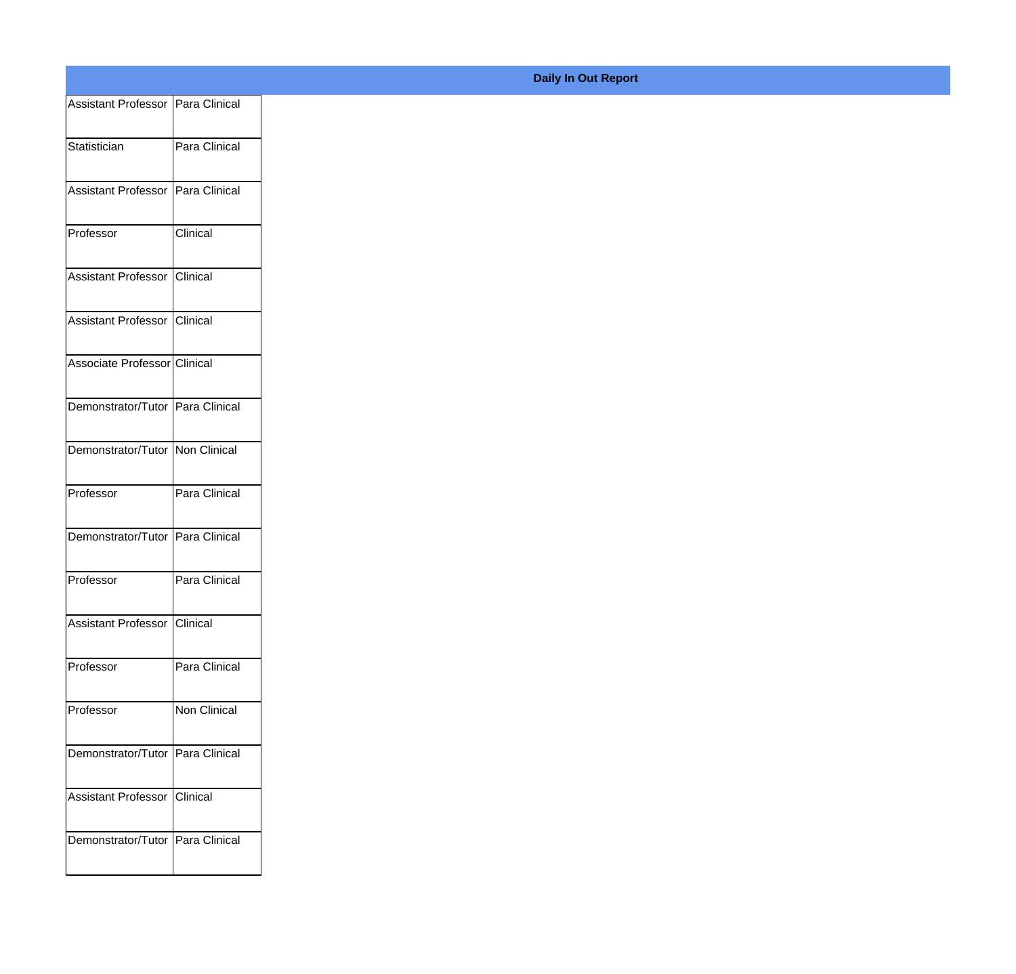| Assistant Professor Para Clinical |               |
|-----------------------------------|---------------|
| Statistician                      | Para Clinical |
|                                   |               |
| Assistant Professor Para Clinical |               |
| Professor                         | Clinical      |
| Assistant Professor Clinical      |               |
| Assistant Professor Clinical      |               |
| Associate Professor Clinical      |               |
| Demonstrator/Tutor Para Clinical  |               |
| Demonstrator/Tutor Non Clinical   |               |
| Professor                         | Para Clinical |
| Demonstrator/Tutor Para Clinical  |               |
|                                   |               |
| Professor                         | Para Clinical |
| Assistant Professor Clinical      |               |
| Professor                         | Para Clinical |
| Professor                         | Non Clinical  |
| Demonstrator/Tutor Para Clinical  |               |
| Assistant Professor Clinical      |               |
| Demonstrator/Tutor Para Clinical  |               |
|                                   |               |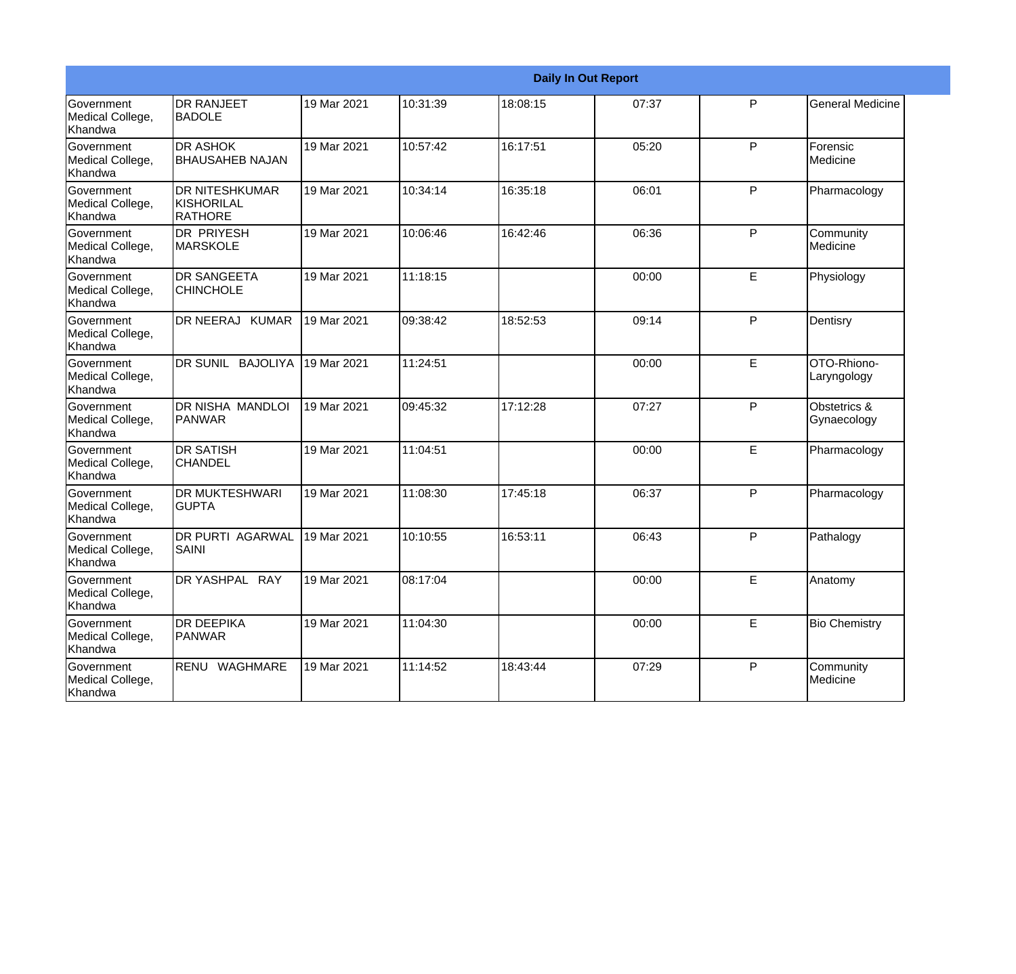|                                           | <b>Daily In Out Report</b>                     |             |          |          |       |              |                             |  |  |  |
|-------------------------------------------|------------------------------------------------|-------------|----------|----------|-------|--------------|-----------------------------|--|--|--|
| Government<br>Medical College,<br>Khandwa | <b>DR RANJEET</b><br><b>BADOLE</b>             | 19 Mar 2021 | 10:31:39 | 18:08:15 | 07:37 | P            | <b>General Medicine</b>     |  |  |  |
| Government<br>Medical College,<br>Khandwa | <b>DR ASHOK</b><br><b>BHAUSAHEB NAJAN</b>      | 19 Mar 2021 | 10:57:42 | 16:17:51 | 05:20 | P            | Forensic<br>Medicine        |  |  |  |
| Government<br>Medical College,<br>Khandwa | <b>DR NITESHKUMAR</b><br>KISHORILAL<br>RATHORE | 19 Mar 2021 | 10:34:14 | 16:35:18 | 06:01 | P            | Pharmacology                |  |  |  |
| Government<br>Medical College,<br>Khandwa | IDR PRIYESH<br><b>MARSKOLE</b>                 | 19 Mar 2021 | 10:06:46 | 16:42:46 | 06:36 | P            | Community<br>Medicine       |  |  |  |
| Government<br>Medical College,<br>Khandwa | <b>DR SANGEETA</b><br><b>CHINCHOLE</b>         | 19 Mar 2021 | 11:18:15 |          | 00:00 | E            | Physiology                  |  |  |  |
| Government<br>Medical College,<br>Khandwa | DR NEERAJ KUMAR                                | 19 Mar 2021 | 09:38:42 | 18:52:53 | 09:14 | P            | Dentisry                    |  |  |  |
| Government<br>Medical College,<br>Khandwa | DR SUNIL BAJOLIYA                              | 19 Mar 2021 | 11:24:51 |          | 00:00 | E            | OTO-Rhiono-<br>Laryngology  |  |  |  |
| Government<br>Medical College,<br>Khandwa | DR NISHA MANDLOI<br>PANWAR                     | 19 Mar 2021 | 09:45:32 | 17:12:28 | 07:27 | P            | Obstetrics &<br>Gynaecology |  |  |  |
| Government<br>Medical College,<br>Khandwa | <b>DR SATISH</b><br><b>CHANDEL</b>             | 19 Mar 2021 | 11:04:51 |          | 00:00 | E            | Pharmacology                |  |  |  |
| Government<br>Medical College,<br>Khandwa | <b>DR MUKTESHWARI</b><br><b>GUPTA</b>          | 19 Mar 2021 | 11:08:30 | 17:45:18 | 06:37 | P            | Pharmacology                |  |  |  |
| Government<br>Medical College,<br>Khandwa | <b>DR PURTI AGARWAL</b><br>SAINI               | 19 Mar 2021 | 10:10:55 | 16:53:11 | 06:43 | P            | Pathalogy                   |  |  |  |
| Government<br>Medical College,<br>Khandwa | DR YASHPAL RAY                                 | 19 Mar 2021 | 08:17:04 |          | 00:00 | E            | Anatomy                     |  |  |  |
| Government<br>Medical College,<br>Khandwa | <b>DR DEEPIKA</b><br><b>PANWAR</b>             | 19 Mar 2021 | 11:04:30 |          | 00:00 | E            | <b>Bio Chemistry</b>        |  |  |  |
| Government<br>Medical College,<br>Khandwa | RENU WAGHMARE                                  | 19 Mar 2021 | 11:14:52 | 18:43:44 | 07:29 | $\mathsf{P}$ | Community<br>Medicine       |  |  |  |